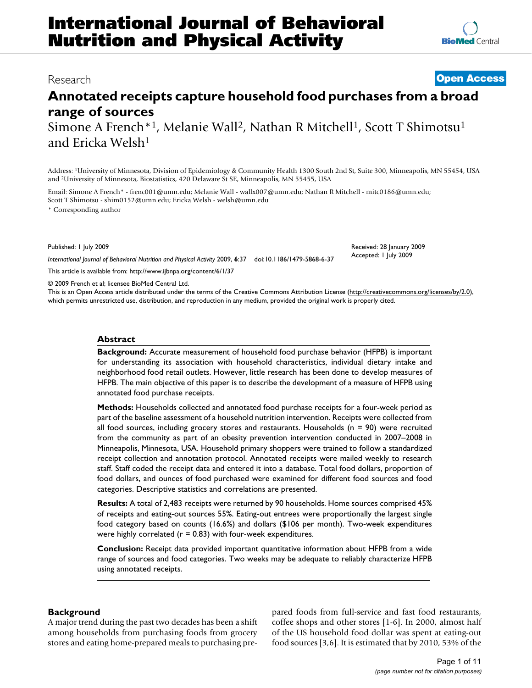# **International Journal of Behavioral Nutrition and Physical Activity**

# Research **[Open Access](http://www.biomedcentral.com/info/about/charter/)**

# **Annotated receipts capture household food purchases from a broad range of sources**

Simone A French<sup>\*1</sup>, Melanie Wall<sup>2</sup>, Nathan R Mitchell<sup>1</sup>, Scott T Shimotsu<sup>1</sup> and Ericka Welsh1

Address: 1University of Minnesota, Division of Epidemiology & Community Health 1300 South 2nd St, Suite 300, Minneapolis, MN 55454, USA and 2University of Minnesota, Biostatistics, 420 Delaware St SE, Minneapolis, MN 55455, USA

Email: Simone A French\* - frenc001@umn.edu; Melanie Wall - wallx007@umn.edu; Nathan R Mitchell - mitc0186@umn.edu; Scott T Shimotsu - shim0152@umn.edu; Ericka Welsh - welsh@umn.edu

\* Corresponding author

Published: 1 July 2009

*International Journal of Behavioral Nutrition and Physical Activity* 2009, **6**:37 doi:10.1186/1479-5868-6-37

[This article is available from: http://www.ijbnpa.org/content/6/1/37](http://www.ijbnpa.org/content/6/1/37)

© 2009 French et al; licensee BioMed Central Ltd.

This is an Open Access article distributed under the terms of the Creative Commons Attribution License [\(http://creativecommons.org/licenses/by/2.0\)](http://creativecommons.org/licenses/by/2.0), which permits unrestricted use, distribution, and reproduction in any medium, provided the original work is properly cited.

#### **Abstract**

**Background:** Accurate measurement of household food purchase behavior (HFPB) is important for understanding its association with household characteristics, individual dietary intake and neighborhood food retail outlets. However, little research has been done to develop measures of HFPB. The main objective of this paper is to describe the development of a measure of HFPB using annotated food purchase receipts.

**Methods:** Households collected and annotated food purchase receipts for a four-week period as part of the baseline assessment of a household nutrition intervention. Receipts were collected from all food sources, including grocery stores and restaurants. Households ( $n = 90$ ) were recruited from the community as part of an obesity prevention intervention conducted in 2007–2008 in Minneapolis, Minnesota, USA. Household primary shoppers were trained to follow a standardized receipt collection and annotation protocol. Annotated receipts were mailed weekly to research staff. Staff coded the receipt data and entered it into a database. Total food dollars, proportion of food dollars, and ounces of food purchased were examined for different food sources and food categories. Descriptive statistics and correlations are presented.

**Results:** A total of 2,483 receipts were returned by 90 households. Home sources comprised 45% of receipts and eating-out sources 55%. Eating-out entrees were proportionally the largest single food category based on counts (16.6%) and dollars (\$106 per month). Two-week expenditures were highly correlated ( $r = 0.83$ ) with four-week expenditures.

**Conclusion:** Receipt data provided important quantitative information about HFPB from a wide range of sources and food categories. Two weeks may be adequate to reliably characterize HFPB using annotated receipts.

# **Background**

A major trend during the past two decades has been a shift among households from purchasing foods from grocery stores and eating home-prepared meals to purchasing prepared foods from full-service and fast food restaurants, coffee shops and other stores [1-6]. In 2000, almost half of the US household food dollar was spent at eating-out food sources [3,6]. It is estimated that by 2010, 53% of the

Received: 28 January 2009

Accepted: 1 July 2009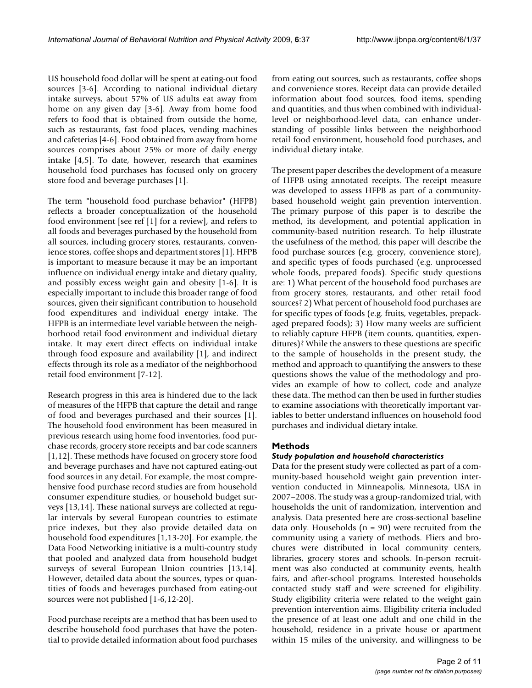US household food dollar will be spent at eating-out food sources [3-6]. According to national individual dietary intake surveys, about 57% of US adults eat away from home on any given day [3-6]. Away from home food refers to food that is obtained from outside the home, such as restaurants, fast food places, vending machines and cafeterias [4-6]. Food obtained from away from home sources comprises about 25% or more of daily energy intake [4,5]. To date, however, research that examines household food purchases has focused only on grocery store food and beverage purchases [1].

The term "household food purchase behavior" (HFPB) reflects a broader conceptualization of the household food environment [see ref [1] for a review], and refers to all foods and beverages purchased by the household from all sources, including grocery stores, restaurants, convenience stores, coffee shops and department stores [1]. HFPB is important to measure because it may be an important influence on individual energy intake and dietary quality, and possibly excess weight gain and obesity [1-6]. It is especially important to include this broader range of food sources, given their significant contribution to household food expenditures and individual energy intake. The HFPB is an intermediate level variable between the neighborhood retail food environment and individual dietary intake. It may exert direct effects on individual intake through food exposure and availability [1], and indirect effects through its role as a mediator of the neighborhood retail food environment [7-12].

Research progress in this area is hindered due to the lack of measures of the HFPB that capture the detail and range of food and beverages purchased and their sources [1]. The household food environment has been measured in previous research using home food inventories, food purchase records, grocery store receipts and bar code scanners [1,12]. These methods have focused on grocery store food and beverage purchases and have not captured eating-out food sources in any detail. For example, the most comprehensive food purchase record studies are from household consumer expenditure studies, or household budget surveys [13,14]. These national surveys are collected at regular intervals by several European countries to estimate price indexes, but they also provide detailed data on household food expenditures [1,13-20]. For example, the Data Food Networking initiative is a multi-country study that pooled and analyzed data from household budget surveys of several European Union countries [13,14]. However, detailed data about the sources, types or quantities of foods and beverages purchased from eating-out sources were not published [1-6,12-20].

Food purchase receipts are a method that has been used to describe household food purchases that have the potential to provide detailed information about food purchases

from eating out sources, such as restaurants, coffee shops and convenience stores. Receipt data can provide detailed information about food sources, food items, spending and quantities, and thus when combined with individuallevel or neighborhood-level data, can enhance understanding of possible links between the neighborhood retail food environment, household food purchases, and individual dietary intake.

The present paper describes the development of a measure of HFPB using annotated receipts. The receipt measure was developed to assess HFPB as part of a communitybased household weight gain prevention intervention. The primary purpose of this paper is to describe the method, its development, and potential application in community-based nutrition research. To help illustrate the usefulness of the method, this paper will describe the food purchase sources (e.g. grocery, convenience store), and specific types of foods purchased (e.g. unprocessed whole foods, prepared foods). Specific study questions are: 1) What percent of the household food purchases are from grocery stores, restaurants, and other retail food sources? 2) What percent of household food purchases are for specific types of foods (e.g. fruits, vegetables, prepackaged prepared foods); 3) How many weeks are sufficient to reliably capture HFPB (item counts, quantities, expenditures)? While the answers to these questions are specific to the sample of households in the present study, the method and approach to quantifying the answers to these questions shows the value of the methodology and provides an example of how to collect, code and analyze these data. The method can then be used in further studies to examine associations with theoretically important variables to better understand influences on household food purchases and individual dietary intake.

# **Methods**

# *Study population and household characteristics*

Data for the present study were collected as part of a community-based household weight gain prevention intervention conducted in Minneapolis, Minnesota, USA in 2007–2008. The study was a group-randomized trial, with households the unit of randomization, intervention and analysis. Data presented here are cross-sectional baseline data only. Households  $(n = 90)$  were recruited from the community using a variety of methods. Fliers and brochures were distributed in local community centers, libraries, grocery stores and schools. In-person recruitment was also conducted at community events, health fairs, and after-school programs. Interested households contacted study staff and were screened for eligibility. Study eligibility criteria were related to the weight gain prevention intervention aims. Eligibility criteria included the presence of at least one adult and one child in the household, residence in a private house or apartment within 15 miles of the university, and willingness to be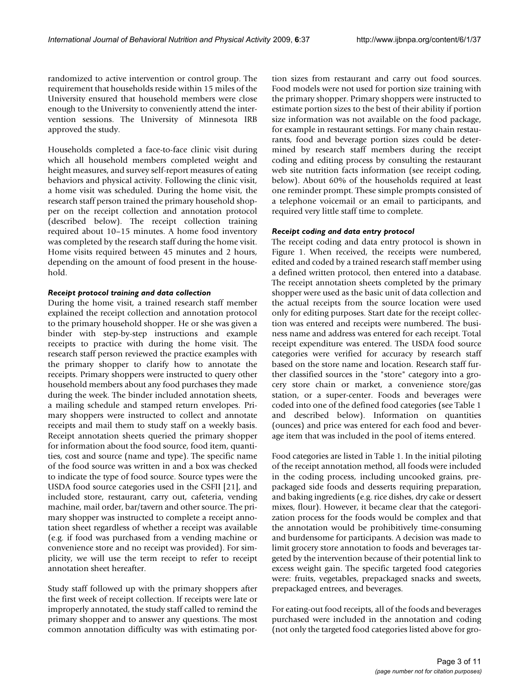randomized to active intervention or control group. The requirement that households reside within 15 miles of the University ensured that household members were close enough to the University to conveniently attend the intervention sessions. The University of Minnesota IRB approved the study.

Households completed a face-to-face clinic visit during which all household members completed weight and height measures, and survey self-report measures of eating behaviors and physical activity. Following the clinic visit, a home visit was scheduled. During the home visit, the research staff person trained the primary household shopper on the receipt collection and annotation protocol (described below). The receipt collection training required about 10–15 minutes. A home food inventory was completed by the research staff during the home visit. Home visits required between 45 minutes and 2 hours, depending on the amount of food present in the household.

#### *Receipt protocol training and data collection*

During the home visit, a trained research staff member explained the receipt collection and annotation protocol to the primary household shopper. He or she was given a binder with step-by-step instructions and example receipts to practice with during the home visit. The research staff person reviewed the practice examples with the primary shopper to clarify how to annotate the receipts. Primary shoppers were instructed to query other household members about any food purchases they made during the week. The binder included annotation sheets, a mailing schedule and stamped return envelopes. Primary shoppers were instructed to collect and annotate receipts and mail them to study staff on a weekly basis. Receipt annotation sheets queried the primary shopper for information about the food source, food item, quantities, cost and source (name and type). The specific name of the food source was written in and a box was checked to indicate the type of food source. Source types were the USDA food source categories used in the CSFII [21], and included store, restaurant, carry out, cafeteria, vending machine, mail order, bar/tavern and other source. The primary shopper was instructed to complete a receipt annotation sheet regardless of whether a receipt was available (e.g. if food was purchased from a vending machine or convenience store and no receipt was provided). For simplicity, we will use the term receipt to refer to receipt annotation sheet hereafter.

Study staff followed up with the primary shoppers after the first week of receipt collection. If receipts were late or improperly annotated, the study staff called to remind the primary shopper and to answer any questions. The most common annotation difficulty was with estimating portion sizes from restaurant and carry out food sources. Food models were not used for portion size training with the primary shopper. Primary shoppers were instructed to estimate portion sizes to the best of their ability if portion size information was not available on the food package, for example in restaurant settings. For many chain restaurants, food and beverage portion sizes could be determined by research staff members during the receipt coding and editing process by consulting the restaurant web site nutrition facts information (see receipt coding, below). About 60% of the households required at least one reminder prompt. These simple prompts consisted of a telephone voicemail or an email to participants, and required very little staff time to complete.

# *Receipt coding and data entry protocol*

The receipt coding and data entry protocol is shown in Figure 1. When received, the receipts were numbered, edited and coded by a trained research staff member using a defined written protocol, then entered into a database. The receipt annotation sheets completed by the primary shopper were used as the basic unit of data collection and the actual receipts from the source location were used only for editing purposes. Start date for the receipt collection was entered and receipts were numbered. The business name and address was entered for each receipt. Total receipt expenditure was entered. The USDA food source categories were verified for accuracy by research staff based on the store name and location. Research staff further classified sources in the "store" category into a grocery store chain or market, a convenience store/gas station, or a super-center. Foods and beverages were coded into one of the defined food categories (see Table 1 and described below). Information on quantities (ounces) and price was entered for each food and beverage item that was included in the pool of items entered.

Food categories are listed in Table 1. In the initial piloting of the receipt annotation method, all foods were included in the coding process, including uncooked grains, prepackaged side foods and desserts requiring preparation, and baking ingredients (e.g. rice dishes, dry cake or dessert mixes, flour). However, it became clear that the categorization process for the foods would be complex and that the annotation would be prohibitively time-consuming and burdensome for participants. A decision was made to limit grocery store annotation to foods and beverages targeted by the intervention because of their potential link to excess weight gain. The specific targeted food categories were: fruits, vegetables, prepackaged snacks and sweets, prepackaged entrees, and beverages.

For eating-out food receipts, all of the foods and beverages purchased were included in the annotation and coding (not only the targeted food categories listed above for gro-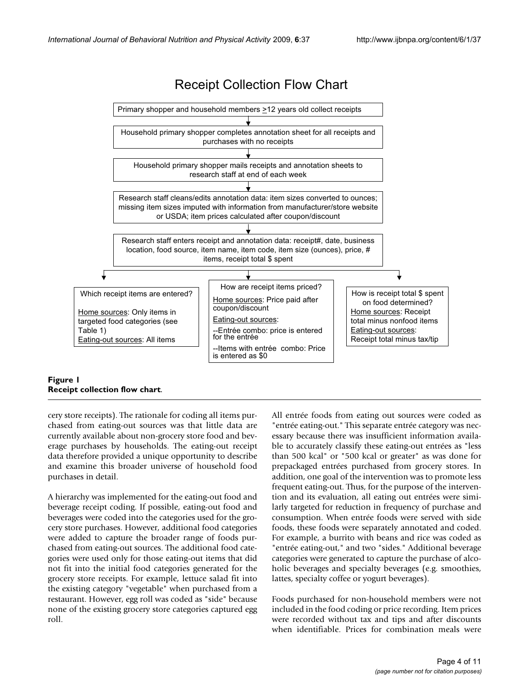# Receipt Collection Flow Chart



#### **Figure 1 Receipt collection flow chart**.

cery store receipts). The rationale for coding all items purchased from eating-out sources was that little data are currently available about non-grocery store food and beverage purchases by households. The eating-out receipt data therefore provided a unique opportunity to describe and examine this broader universe of household food purchases in detail.

A hierarchy was implemented for the eating-out food and beverage receipt coding. If possible, eating-out food and beverages were coded into the categories used for the grocery store purchases. However, additional food categories were added to capture the broader range of foods purchased from eating-out sources. The additional food categories were used only for those eating-out items that did not fit into the initial food categories generated for the grocery store receipts. For example, lettuce salad fit into the existing category "vegetable" when purchased from a restaurant. However, egg roll was coded as "side" because none of the existing grocery store categories captured egg roll.

All entrée foods from eating out sources were coded as "entrée eating-out." This separate entrée category was necessary because there was insufficient information available to accurately classify these eating-out entrées as "less than 500 kcal" or "500 kcal or greater" as was done for prepackaged entrées purchased from grocery stores. In addition, one goal of the intervention was to promote less frequent eating-out. Thus, for the purpose of the intervention and its evaluation, all eating out entrées were similarly targeted for reduction in frequency of purchase and consumption. When entrée foods were served with side foods, these foods were separately annotated and coded. For example, a burrito with beans and rice was coded as "entrée eating-out," and two "sides." Additional beverage categories were generated to capture the purchase of alcoholic beverages and specialty beverages (e.g. smoothies, lattes, specialty coffee or yogurt beverages).

Foods purchased for non-household members were not included in the food coding or price recording. Item prices were recorded without tax and tips and after discounts when identifiable. Prices for combination meals were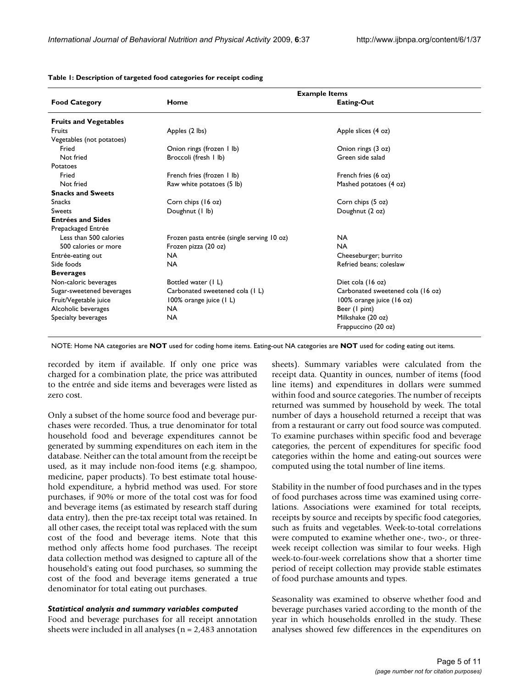|                              | <b>Example Items</b>                       |                                   |  |  |
|------------------------------|--------------------------------------------|-----------------------------------|--|--|
| <b>Food Category</b>         | Home                                       | <b>Eating-Out</b>                 |  |  |
| <b>Fruits and Vegetables</b> |                                            |                                   |  |  |
| Fruits                       | Apples (2 lbs)                             | Apple slices (4 oz)               |  |  |
| Vegetables (not potatoes)    |                                            |                                   |  |  |
| Fried                        | Onion rings (frozen 1 lb)                  | Onion rings (3 oz)                |  |  |
| Not fried                    | Broccoli (fresh I lb)                      | Green side salad                  |  |  |
| Potatoes                     |                                            |                                   |  |  |
| Fried                        | French fries (frozen 1 lb)                 | French fries (6 oz)               |  |  |
| Not fried                    | Raw white potatoes (5 lb)                  | Mashed potatoes (4 oz)            |  |  |
| <b>Snacks and Sweets</b>     |                                            |                                   |  |  |
| <b>Snacks</b>                | Corn chips (16 oz)                         | Corn chips (5 oz)                 |  |  |
| Sweets                       | Doughnut (1 lb)                            | Doughnut (2 oz)                   |  |  |
| <b>Entrées and Sides</b>     |                                            |                                   |  |  |
| Prepackaged Entrée           |                                            |                                   |  |  |
| Less than 500 calories       | Frozen pasta entrée (single serving 10 oz) | <b>NA</b>                         |  |  |
| 500 calories or more         | Frozen pizza (20 oz)                       | <b>NA</b>                         |  |  |
| Entrée-eating out            | <b>NA</b>                                  | Cheeseburger; burrito             |  |  |
| Side foods                   | <b>NA</b>                                  | Refried beans; coleslaw           |  |  |
| <b>Beverages</b>             |                                            |                                   |  |  |
| Non-caloric beverages        | Bottled water (1 L)                        | Diet cola (16 oz)                 |  |  |
| Sugar-sweetened beverages    | Carbonated sweetened cola (I L)            | Carbonated sweetened cola (16 oz) |  |  |
| Fruit/Vegetable juice        | 100% orange juice (1 L)                    | 100% orange juice (16 oz)         |  |  |
| Alcoholic beverages          | <b>NA</b>                                  | Beer (1 pint)                     |  |  |
| Specialty beverages          | <b>NA</b>                                  | Milkshake (20 oz)                 |  |  |
|                              |                                            | Frappuccino (20 oz)               |  |  |

**Table 1: Description of targeted food categories for receipt coding**

NOTE: Home NA categories are **NOT** used for coding home items. Eating-out NA categories are **NOT** used for coding eating out items.

recorded by item if available. If only one price was charged for a combination plate, the price was attributed to the entrée and side items and beverages were listed as zero cost.

Only a subset of the home source food and beverage purchases were recorded. Thus, a true denominator for total household food and beverage expenditures cannot be generated by summing expenditures on each item in the database. Neither can the total amount from the receipt be used, as it may include non-food items (e.g. shampoo, medicine, paper products). To best estimate total household expenditure, a hybrid method was used. For store purchases, if 90% or more of the total cost was for food and beverage items (as estimated by research staff during data entry), then the pre-tax receipt total was retained. In all other cases, the receipt total was replaced with the sum cost of the food and beverage items. Note that this method only affects home food purchases. The receipt data collection method was designed to capture all of the household's eating out food purchases, so summing the cost of the food and beverage items generated a true denominator for total eating out purchases.

#### *Statistical analysis and summary variables computed*

Food and beverage purchases for all receipt annotation sheets were included in all analyses ( $n = 2,483$  annotation sheets). Summary variables were calculated from the receipt data. Quantity in ounces, number of items (food line items) and expenditures in dollars were summed within food and source categories. The number of receipts returned was summed by household by week. The total number of days a household returned a receipt that was from a restaurant or carry out food source was computed. To examine purchases within specific food and beverage categories, the percent of expenditures for specific food categories within the home and eating-out sources were computed using the total number of line items.

Stability in the number of food purchases and in the types of food purchases across time was examined using correlations. Associations were examined for total receipts, receipts by source and receipts by specific food categories, such as fruits and vegetables. Week-to-total correlations were computed to examine whether one-, two-, or threeweek receipt collection was similar to four weeks. High week-to-four-week correlations show that a shorter time period of receipt collection may provide stable estimates of food purchase amounts and types.

Seasonality was examined to observe whether food and beverage purchases varied according to the month of the year in which households enrolled in the study. These analyses showed few differences in the expenditures on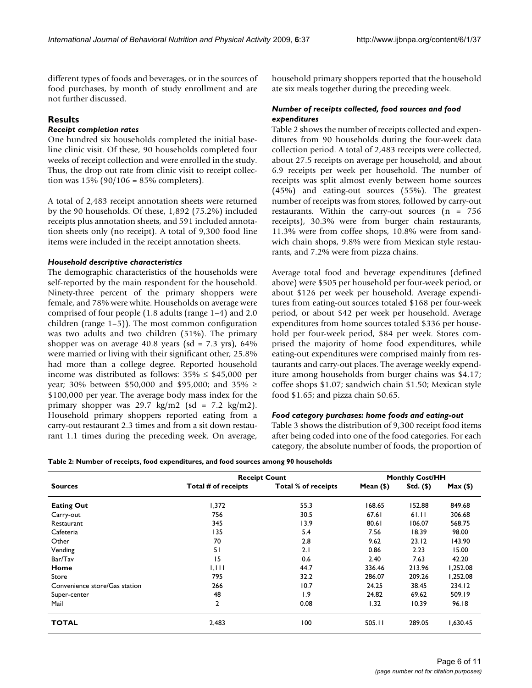different types of foods and beverages, or in the sources of food purchases, by month of study enrollment and are not further discussed.

#### **Results**

#### *Receipt completion rates*

One hundred six households completed the initial baseline clinic visit. Of these, 90 households completed four weeks of receipt collection and were enrolled in the study. Thus, the drop out rate from clinic visit to receipt collection was  $15\% (90/106 = 85\%$  completers).

A total of 2,483 receipt annotation sheets were returned by the 90 households. Of these, 1,892 (75.2%) included receipts plus annotation sheets, and 591 included annotation sheets only (no receipt). A total of 9,300 food line items were included in the receipt annotation sheets.

#### *Household descriptive characteristics*

The demographic characteristics of the households were self-reported by the main respondent for the household. Ninety-three percent of the primary shoppers were female, and 78% were white. Households on average were comprised of four people (1.8 adults (range 1–4) and 2.0 children (range 1–5)). The most common configuration was two adults and two children (51%). The primary shopper was on average  $40.8$  years (sd =  $7.3$  yrs),  $64\%$ were married or living with their significant other; 25.8% had more than a college degree. Reported household income was distributed as follows:  $35\% \leq $45,000$  per year; 30% between \$50,000 and \$95,000; and 35% ≥ \$100,000 per year. The average body mass index for the primary shopper was  $29.7 \text{ kg/m2 (sd} = 7.2 \text{ kg/m2}).$ Household primary shoppers reported eating from a carry-out restaurant 2.3 times and from a sit down restaurant 1.1 times during the preceding week. On average,

household primary shoppers reported that the household ate six meals together during the preceding week.

#### *Number of receipts collected, food sources and food expenditures*

Table 2 shows the number of receipts collected and expenditures from 90 households during the four-week data collection period. A total of 2,483 receipts were collected, about 27.5 receipts on average per household, and about 6.9 receipts per week per household. The number of receipts was split almost evenly between home sources (45%) and eating-out sources (55%). The greatest number of receipts was from stores, followed by carry-out restaurants. Within the carry-out sources  $(n = 756)$ receipts), 30.3% were from burger chain restaurants, 11.3% were from coffee shops, 10.8% were from sandwich chain shops, 9.8% were from Mexican style restaurants, and 7.2% were from pizza chains.

Average total food and beverage expenditures (defined above) were \$505 per household per four-week period, or about \$126 per week per household. Average expenditures from eating-out sources totaled \$168 per four-week period, or about \$42 per week per household. Average expenditures from home sources totaled \$336 per household per four-week period, \$84 per week. Stores comprised the majority of home food expenditures, while eating-out expenditures were comprised mainly from restaurants and carry-out places. The average weekly expenditure among households from burger chains was \$4.17; coffee shops \$1.07; sandwich chain \$1.50; Mexican style food \$1.65; and pizza chain \$0.65.

#### *Food category purchases: home foods and eating-out*

Table 3 shows the distribution of 9,300 receipt food items after being coded into one of the food categories. For each category, the absolute number of foods, the proportion of

|                               | <b>Receipt Count</b> | <b>Monthly Cost/HH</b> |             |             |            |
|-------------------------------|----------------------|------------------------|-------------|-------------|------------|
| <b>Sources</b>                | Total # of receipts  | Total % of receipts    | Mean $(\$)$ | $Std.$ (\$) | $Max($ \$) |
| <b>Eating Out</b>             | 1,372                | 55.3                   | 168.65      | 152.88      | 849.68     |
| Carry-out                     | 756                  | 30.5                   | 67.61       | 61.11       | 306.68     |
| Restaurant                    | 345                  | 13.9                   | 80.61       | 106.07      | 568.75     |
| Cafeteria                     | 135                  | 5.4                    | 7.56        | 18.39       | 98.00      |
| Other                         | 70                   | 2.8                    | 9.62        | 23.12       | 143.90     |
| Vending                       | 51                   | 2.1                    | 0.86        | 2.23        | 15.00      |
| Bar/Tav                       | 15                   | 0.6                    | 2.40        | 7.63        | 42.20      |
| Home                          | 1,111                | 44.7                   | 336.46      | 213.96      | 1,252.08   |
| Store                         | 795                  | 32.2                   | 286.07      | 209.26      | 1,252.08   |
| Convenience store/Gas station | 266                  | 10.7                   | 24.25       | 38.45       | 234.12     |
| Super-center                  | 48                   | 1.9                    | 24.82       | 69.62       | 509.19     |
| Mail                          | $\overline{2}$       | 0.08                   | 1.32        | 10.39       | 96.18      |
| <b>TOTAL</b>                  | 2,483                | 100                    | 505.11      | 289.05      | 1,630.45   |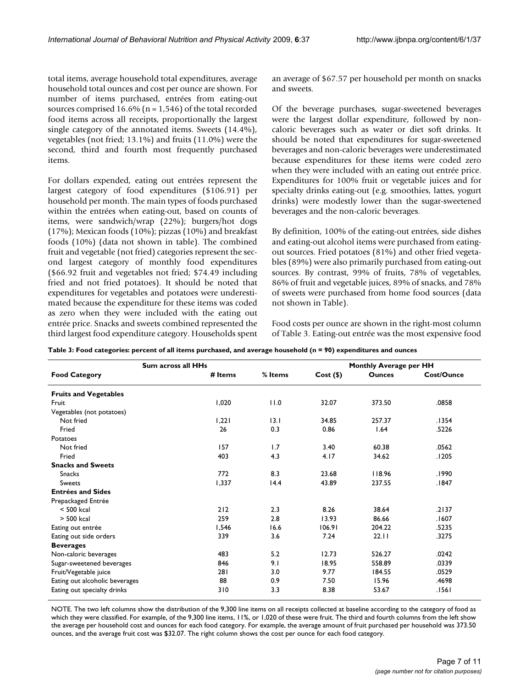total items, average household total expenditures, average household total ounces and cost per ounce are shown. For number of items purchased, entrées from eating-out sources comprised  $16.6\%$  (n = 1,546) of the total recorded food items across all receipts, proportionally the largest single category of the annotated items. Sweets (14.4%), vegetables (not fried; 13.1%) and fruits (11.0%) were the second, third and fourth most frequently purchased items.

For dollars expended, eating out entrées represent the largest category of food expenditures (\$106.91) per household per month. The main types of foods purchased within the entrées when eating-out, based on counts of items, were sandwich/wrap (22%); burgers/hot dogs (17%); Mexican foods (10%); pizzas (10%) and breakfast foods (10%) (data not shown in table). The combined fruit and vegetable (not fried) categories represent the second largest category of monthly food expenditures (\$66.92 fruit and vegetables not fried; \$74.49 including fried and not fried potatoes). It should be noted that expenditures for vegetables and potatoes were underestimated because the expenditure for these items was coded as zero when they were included with the eating out entrée price. Snacks and sweets combined represented the third largest food expenditure category. Households spent an average of \$67.57 per household per month on snacks and sweets.

Of the beverage purchases, sugar-sweetened beverages were the largest dollar expenditure, followed by noncaloric beverages such as water or diet soft drinks. It should be noted that expenditures for sugar-sweetened beverages and non-caloric beverages were underestimated because expenditures for these items were coded zero when they were included with an eating out entrée price. Expenditures for 100% fruit or vegetable juices and for specialty drinks eating-out (e.g. smoothies, lattes, yogurt drinks) were modestly lower than the sugar-sweetened beverages and the non-caloric beverages.

By definition, 100% of the eating-out entrées, side dishes and eating-out alcohol items were purchased from eatingout sources. Fried potatoes (81%) and other fried vegetables (89%) were also primarily purchased from eating-out sources. By contrast, 99% of fruits, 78% of vegetables, 86% of fruit and vegetable juices, 89% of snacks, and 78% of sweets were purchased from home food sources (data not shown in Table).

Food costs per ounce are shown in the right-most column of Table 3. Eating-out entrée was the most expensive food

| Sum across all HHs             |         |         |             | Monthly Average per HH |            |
|--------------------------------|---------|---------|-------------|------------------------|------------|
| <b>Food Category</b>           | # Items | % Items | $Cost($ \$) | <b>Ounces</b>          | Cost/Ounce |
| <b>Fruits and Vegetables</b>   |         |         |             |                        |            |
| Fruit                          | 1,020   | 11.0    | 32.07       | 373.50                 | .0858      |
| Vegetables (not potatoes)      |         |         |             |                        |            |
| Not fried                      | 1,221   | 13.1    | 34.85       | 257.37                 | .1354      |
| Fried                          | 26      | 0.3     | 0.86        | 1.64                   | .5226      |
| Potatoes                       |         |         |             |                        |            |
| Not fried                      | 157     | 1.7     | 3.40        | 60.38                  | .0562      |
| Fried                          | 403     | 4.3     | 4.17        | 34.62                  | .1205      |
| <b>Snacks and Sweets</b>       |         |         |             |                        |            |
| <b>Snacks</b>                  | 772     | 8.3     | 23.68       | 118.96                 | .1990      |
| Sweets                         | 1,337   | 14.4    | 43.89       | 237.55                 | .1847      |
| <b>Entrées and Sides</b>       |         |         |             |                        |            |
| Prepackaged Entrée             |         |         |             |                        |            |
| $< 500$ kcal                   | 212     | 2.3     | 8.26        | 38.64                  | .2137      |
| > 500 kcal                     | 259     | 2.8     | 13.93       | 86.66                  | .1607      |
| Eating out entrée              | 1,546   | 16.6    | 106.91      | 204.22                 | .5235      |
| Eating out side orders         | 339     | 3.6     | 7.24        | 22.11                  | .3275      |
| <b>Beverages</b>               |         |         |             |                        |            |
| Non-caloric beverages          | 483     | 5.2     | 12.73       | 526.27                 | .0242      |
| Sugar-sweetened beverages      | 846     | 9.1     | 18.95       | 558.89                 | .0339      |
| Fruit/Vegetable juice          | 281     | 3.0     | 9.77        | 184.55                 | .0529      |
| Eating out alcoholic beverages | 88      | 0.9     | 7.50        | 15.96                  | .4698      |
| Eating out specialty drinks    | 310     | 3.3     | 8.38        | 53.67                  | .1561      |

**Table 3: Food categories: percent of all items purchased, and average household (n = 90) expenditures and ounces**

NOTE. The two left columns show the distribution of the 9,300 line items on all receipts collected at baseline according to the category of food as which they were classified. For example, of the 9,300 line items, 11%, or 1,020 of these were fruit. The third and fourth columns from the left show the average per household cost and ounces for each food category. For example, the average amount of fruit purchased per household was 373.50 ounces, and the average fruit cost was \$32.07. The right column shows the cost per ounce for each food category.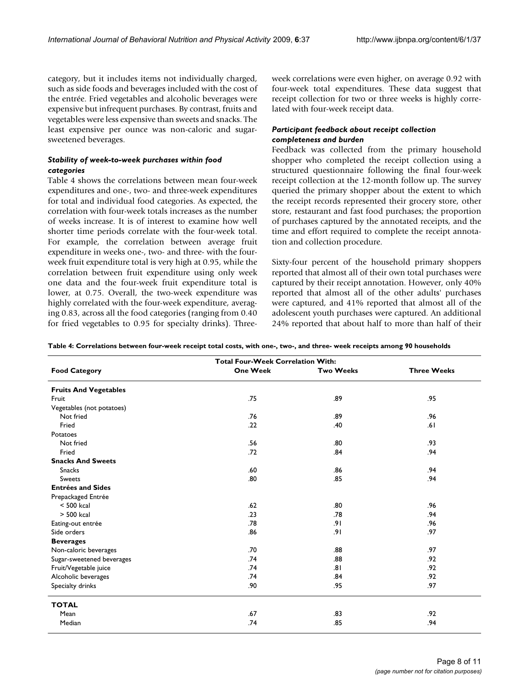category, but it includes items not individually charged, such as side foods and beverages included with the cost of the entrée. Fried vegetables and alcoholic beverages were expensive but infrequent purchases. By contrast, fruits and vegetables were less expensive than sweets and snacks. The least expensive per ounce was non-caloric and sugarsweetened beverages.

#### *Stability of week-to-week purchases within food categories*

Table 4 shows the correlations between mean four-week expenditures and one-, two- and three-week expenditures for total and individual food categories. As expected, the correlation with four-week totals increases as the number of weeks increase. It is of interest to examine how well shorter time periods correlate with the four-week total. For example, the correlation between average fruit expenditure in weeks one-, two- and three- with the fourweek fruit expenditure total is very high at 0.95, while the correlation between fruit expenditure using only week one data and the four-week fruit expenditure total is lower, at 0.75. Overall, the two-week expenditure was highly correlated with the four-week expenditure, averaging 0.83, across all the food categories (ranging from 0.40 for fried vegetables to 0.95 for specialty drinks). Threeweek correlations were even higher, on average 0.92 with four-week total expenditures. These data suggest that receipt collection for two or three weeks is highly correlated with four-week receipt data.

# *Participant feedback about receipt collection completeness and burden*

Feedback was collected from the primary household shopper who completed the receipt collection using a structured questionnaire following the final four-week receipt collection at the 12-month follow up. The survey queried the primary shopper about the extent to which the receipt records represented their grocery store, other store, restaurant and fast food purchases; the proportion of purchases captured by the annotated receipts, and the time and effort required to complete the receipt annotation and collection procedure.

Sixty-four percent of the household primary shoppers reported that almost all of their own total purchases were captured by their receipt annotation. However, only 40% reported that almost all of the other adults' purchases were captured, and 41% reported that almost all of the adolescent youth purchases were captured. An additional 24% reported that about half to more than half of their

| <b>Total Four-Week Correlation With:</b> |                 |                  |                    |
|------------------------------------------|-----------------|------------------|--------------------|
| <b>Food Category</b>                     | <b>One Week</b> | <b>Two Weeks</b> | <b>Three Weeks</b> |
| <b>Fruits And Vegetables</b>             |                 |                  |                    |
| Fruit                                    | .75             | .89              | .95                |
| Vegetables (not potatoes)                |                 |                  |                    |
| Not fried                                | .76             | .89              | .96                |
| Fried                                    | .22             | .40              | .61                |
| Potatoes                                 |                 |                  |                    |
| Not fried                                | .56             | .80              | .93                |
| Fried                                    | .72             | .84              | .94                |
| <b>Snacks And Sweets</b>                 |                 |                  |                    |
| <b>Snacks</b>                            | .60             | .86              | .94                |
| Sweets                                   | .80             | .85              | .94                |
| <b>Entrées and Sides</b>                 |                 |                  |                    |
| Prepackaged Entrée                       |                 |                  |                    |
| $< 500$ kcal                             | .62             | .80              | .96                |
| > 500 kcal                               | .23             | .78              | .94                |
| Eating-out entrée                        | .78             | .91              | .96                |
| Side orders                              | .86             | .91              | .97                |
| <b>Beverages</b>                         |                 |                  |                    |
| Non-caloric beverages                    | .70             | .88              | .97                |
| Sugar-sweetened beverages                | .74             | .88              | .92                |
| Fruit/Vegetable juice                    | .74             | .81              | .92                |
| Alcoholic beverages                      | .74             | .84              | .92                |
| Specialty drinks                         | .90             | .95              | .97                |
| <b>TOTAL</b>                             |                 |                  |                    |
| Mean                                     | .67             | .83              | .92                |
| Median                                   | .74             | .85              | .94                |

**Table 4: Correlations between four-week receipt total costs, with one-, two-, and three- week receipts among 90 households**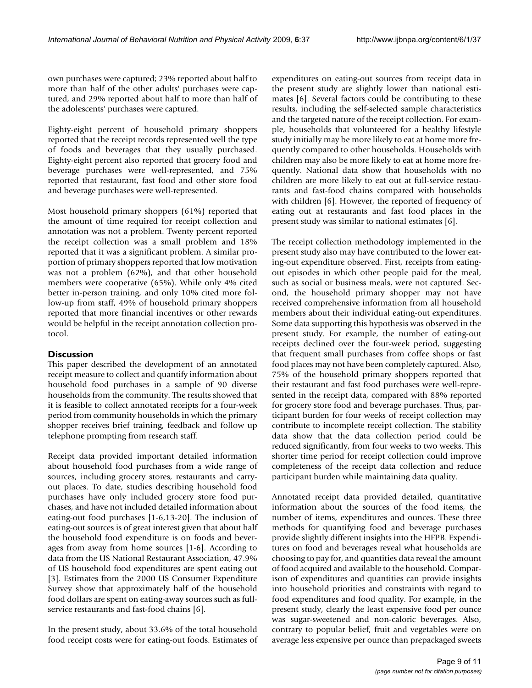own purchases were captured; 23% reported about half to more than half of the other adults' purchases were captured, and 29% reported about half to more than half of the adolescents' purchases were captured.

Eighty-eight percent of household primary shoppers reported that the receipt records represented well the type of foods and beverages that they usually purchased. Eighty-eight percent also reported that grocery food and beverage purchases were well-represented, and 75% reported that restaurant, fast food and other store food and beverage purchases were well-represented.

Most household primary shoppers (61%) reported that the amount of time required for receipt collection and annotation was not a problem. Twenty percent reported the receipt collection was a small problem and 18% reported that it was a significant problem. A similar proportion of primary shoppers reported that low motivation was not a problem (62%), and that other household members were cooperative (65%). While only 4% cited better in-person training, and only 10% cited more follow-up from staff, 49% of household primary shoppers reported that more financial incentives or other rewards would be helpful in the receipt annotation collection protocol.

# **Discussion**

This paper described the development of an annotated receipt measure to collect and quantify information about household food purchases in a sample of 90 diverse households from the community. The results showed that it is feasible to collect annotated receipts for a four-week period from community households in which the primary shopper receives brief training, feedback and follow up telephone prompting from research staff.

Receipt data provided important detailed information about household food purchases from a wide range of sources, including grocery stores, restaurants and carryout places. To date, studies describing household food purchases have only included grocery store food purchases, and have not included detailed information about eating-out food purchases [1-6,13-20]. The inclusion of eating-out sources is of great interest given that about half the household food expenditure is on foods and beverages from away from home sources [1-6]. According to data from the US National Restaurant Association, 47.9% of US household food expenditures are spent eating out [3]. Estimates from the 2000 US Consumer Expenditure Survey show that approximately half of the household food dollars are spent on eating-away sources such as fullservice restaurants and fast-food chains [6].

In the present study, about 33.6% of the total household food receipt costs were for eating-out foods. Estimates of expenditures on eating-out sources from receipt data in the present study are slightly lower than national estimates [6]. Several factors could be contributing to these results, including the self-selected sample characteristics and the targeted nature of the receipt collection. For example, households that volunteered for a healthy lifestyle study initially may be more likely to eat at home more frequently compared to other households. Households with children may also be more likely to eat at home more frequently. National data show that households with no children are more likely to eat out at full-service restaurants and fast-food chains compared with households with children [6]. However, the reported of frequency of eating out at restaurants and fast food places in the present study was similar to national estimates [6].

The receipt collection methodology implemented in the present study also may have contributed to the lower eating-out expenditure observed. First, receipts from eatingout episodes in which other people paid for the meal, such as social or business meals, were not captured. Second, the household primary shopper may not have received comprehensive information from all household members about their individual eating-out expenditures. Some data supporting this hypothesis was observed in the present study. For example, the number of eating-out receipts declined over the four-week period, suggesting that frequent small purchases from coffee shops or fast food places may not have been completely captured. Also, 75% of the household primary shoppers reported that their restaurant and fast food purchases were well-represented in the receipt data, compared with 88% reported for grocery store food and beverage purchases. Thus, participant burden for four weeks of receipt collection may contribute to incomplete receipt collection. The stability data show that the data collection period could be reduced significantly, from four weeks to two weeks. This shorter time period for receipt collection could improve completeness of the receipt data collection and reduce participant burden while maintaining data quality.

Annotated receipt data provided detailed, quantitative information about the sources of the food items, the number of items, expenditures and ounces. These three methods for quantifying food and beverage purchases provide slightly different insights into the HFPB. Expenditures on food and beverages reveal what households are choosing to pay for, and quantities data reveal the amount of food acquired and available to the household. Comparison of expenditures and quantities can provide insights into household priorities and constraints with regard to food expenditures and food quality. For example, in the present study, clearly the least expensive food per ounce was sugar-sweetened and non-caloric beverages. Also, contrary to popular belief, fruit and vegetables were on average less expensive per ounce than prepackaged sweets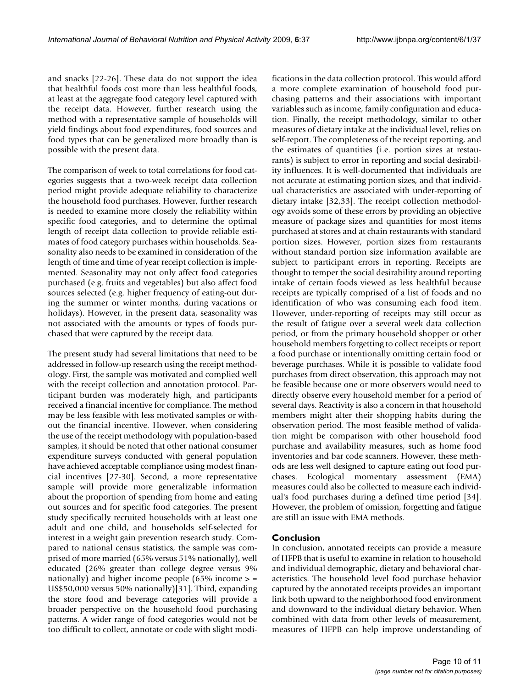and snacks [22-26]. These data do not support the idea that healthful foods cost more than less healthful foods, at least at the aggregate food category level captured with the receipt data. However, further research using the method with a representative sample of households will yield findings about food expenditures, food sources and food types that can be generalized more broadly than is possible with the present data.

The comparison of week to total correlations for food categories suggests that a two-week receipt data collection period might provide adequate reliability to characterize the household food purchases. However, further research is needed to examine more closely the reliability within specific food categories, and to determine the optimal length of receipt data collection to provide reliable estimates of food category purchases within households. Seasonality also needs to be examined in consideration of the length of time and time of year receipt collection is implemented. Seasonality may not only affect food categories purchased (e.g. fruits and vegetables) but also affect food sources selected (e.g. higher frequency of eating-out during the summer or winter months, during vacations or holidays). However, in the present data, seasonality was not associated with the amounts or types of foods purchased that were captured by the receipt data.

The present study had several limitations that need to be addressed in follow-up research using the receipt methodology. First, the sample was motivated and complied well with the receipt collection and annotation protocol. Participant burden was moderately high, and participants received a financial incentive for compliance. The method may be less feasible with less motivated samples or without the financial incentive. However, when considering the use of the receipt methodology with population-based samples, it should be noted that other national consumer expenditure surveys conducted with general population have achieved acceptable compliance using modest financial incentives [27-30]. Second, a more representative sample will provide more generalizable information about the proportion of spending from home and eating out sources and for specific food categories. The present study specifically recruited households with at least one adult and one child, and households self-selected for interest in a weight gain prevention research study. Compared to national census statistics, the sample was comprised of more married (65% versus 51% nationally), well educated (26% greater than college degree versus 9% nationally) and higher income people  $(65\% \text{ income} >$ US\$50,000 versus 50% nationally)[31]. Third, expanding the store food and beverage categories will provide a broader perspective on the household food purchasing patterns. A wider range of food categories would not be too difficult to collect, annotate or code with slight modifications in the data collection protocol. This would afford a more complete examination of household food purchasing patterns and their associations with important variables such as income, family configuration and education. Finally, the receipt methodology, similar to other measures of dietary intake at the individual level, relies on self-report. The completeness of the receipt reporting, and the estimates of quantities (i.e. portion sizes at restaurants) is subject to error in reporting and social desirability influences. It is well-documented that individuals are not accurate at estimating portion sizes, and that individual characteristics are associated with under-reporting of dietary intake [32,33]. The receipt collection methodology avoids some of these errors by providing an objective measure of package sizes and quantities for most items purchased at stores and at chain restaurants with standard portion sizes. However, portion sizes from restaurants without standard portion size information available are subject to participant errors in reporting. Receipts are thought to temper the social desirability around reporting intake of certain foods viewed as less healthful because receipts are typically comprised of a list of foods and no identification of who was consuming each food item. However, under-reporting of receipts may still occur as the result of fatigue over a several week data collection period, or from the primary household shopper or other household members forgetting to collect receipts or report a food purchase or intentionally omitting certain food or beverage purchases. While it is possible to validate food purchases from direct observation, this approach may not be feasible because one or more observers would need to directly observe every household member for a period of several days. Reactivity is also a concern in that household members might alter their shopping habits during the observation period. The most feasible method of validation might be comparison with other household food purchase and availability measures, such as home food inventories and bar code scanners. However, these methods are less well designed to capture eating out food purchases. Ecological momentary assessment (EMA) measures could also be collected to measure each individual's food purchases during a defined time period [34]. However, the problem of omission, forgetting and fatigue are still an issue with EMA methods.

# **Conclusion**

In conclusion, annotated receipts can provide a measure of HFPB that is useful to examine in relation to household and individual demographic, dietary and behavioral characteristics. The household level food purchase behavior captured by the annotated receipts provides an important link both upward to the neighborhood food environment and downward to the individual dietary behavior. When combined with data from other levels of measurement, measures of HFPB can help improve understanding of